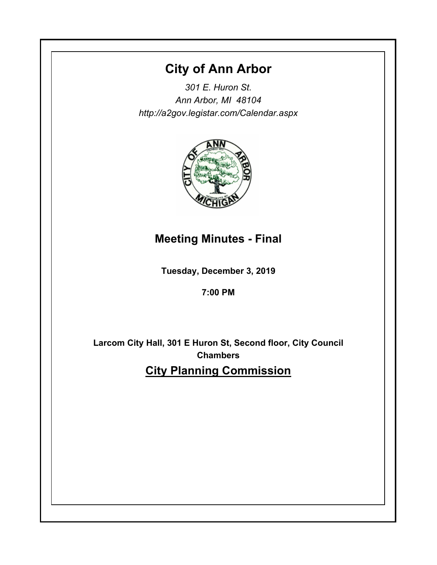# **City of Ann Arbor**

*301 E. Huron St. Ann Arbor, MI 48104 http://a2gov.legistar.com/Calendar.aspx*



# **Meeting Minutes - Final**

**Tuesday, December 3, 2019**

**7:00 PM**

**Larcom City Hall, 301 E Huron St, Second floor, City Council Chambers City Planning Commission**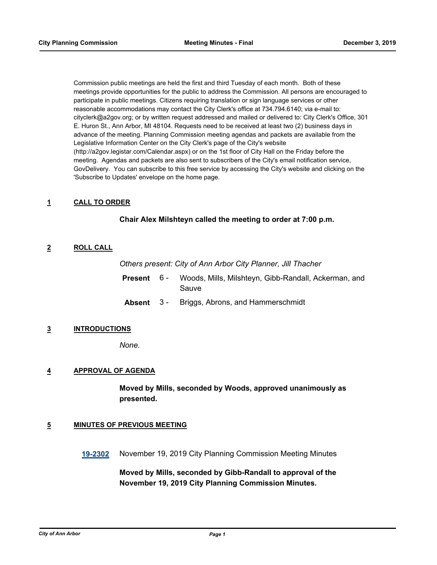Commission public meetings are held the first and third Tuesday of each month. Both of these meetings provide opportunities for the public to address the Commission. All persons are encouraged to participate in public meetings. Citizens requiring translation or sign language services or other reasonable accommodations may contact the City Clerk's office at 734.794.6140; via e-mail to: cityclerk@a2gov.org; or by written request addressed and mailed or delivered to: City Clerk's Office, 301 E. Huron St., Ann Arbor, MI 48104. Requests need to be received at least two (2) business days in advance of the meeting. Planning Commission meeting agendas and packets are available from the Legislative Information Center on the City Clerk's page of the City's website (http://a2gov.legistar.com/Calendar.aspx) or on the 1st floor of City Hall on the Friday before the meeting. Agendas and packets are also sent to subscribers of the City's email notification service, GovDelivery. You can subscribe to this free service by accessing the City's website and clicking on the 'Subscribe to Updates' envelope on the home page.

#### **1 CALL TO ORDER**

### **Chair Alex Milshteyn called the meeting to order at 7:00 p.m.**

## **2 ROLL CALL**

*Others present: City of Ann Arbor City Planner, Jill Thacher*

- Woods, Mills, Milshteyn, Gibb-Randall, Ackerman, and Sauve **Present** 6 -
- **Absent** 3 Briggs, Abrons, and Hammerschmidt

#### **3 INTRODUCTIONS**

*None.*

#### **4 APPROVAL OF AGENDA**

**Moved by Mills, seconded by Woods, approved unanimously as presented.**

#### **5 MINUTES OF PREVIOUS MEETING**

**[19-2302](http://a2gov.legistar.com/gateway.aspx?M=L&ID=23922)** November 19, 2019 City Planning Commission Meeting Minutes

**Moved by Mills, seconded by Gibb-Randall to approval of the November 19, 2019 City Planning Commission Minutes.**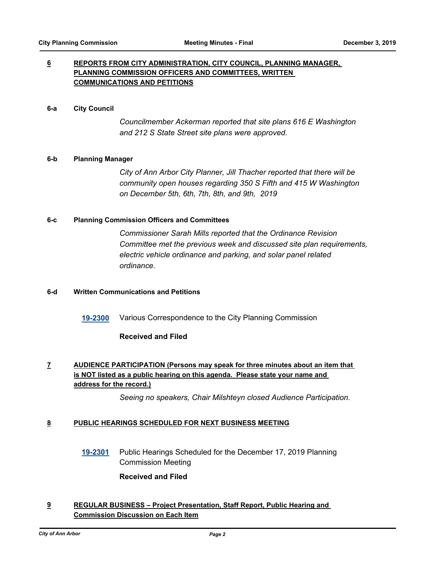## **6 REPORTS FROM CITY ADMINISTRATION, CITY COUNCIL, PLANNING MANAGER, PLANNING COMMISSION OFFICERS AND COMMITTEES, WRITTEN COMMUNICATIONS AND PETITIONS**

#### **6-a City Council**

*Councilmember Ackerman reported that site plans 616 E Washington and 212 S State Street site plans were approved.*

#### **6-b Planning Manager**

*City of Ann Arbor City Planner, Jill Thacher reported that there will be community open houses regarding 350 S Fifth and 415 W Washington on December 5th, 6th, 7th, 8th, and 9th, 2019*

#### **6-c Planning Commission Officers and Committees**

*Commissioner Sarah Mills reported that the Ordinance Revision Committee met the previous week and discussed site plan requirements, electric vehicle ordinance and parking, and solar panel related ordinance.*

#### **6-d Written Communications and Petitions**

**[19-2300](http://a2gov.legistar.com/gateway.aspx?M=L&ID=23920)** Various Correspondence to the City Planning Commission

#### **Received and Filed**

# **7 AUDIENCE PARTICIPATION (Persons may speak for three minutes about an item that is NOT listed as a public hearing on this agenda. Please state your name and address for the record.)**

*Seeing no speakers, Chair Milshteyn closed Audience Participation.*

#### **8 PUBLIC HEARINGS SCHEDULED FOR NEXT BUSINESS MEETING**

**[19-2301](http://a2gov.legistar.com/gateway.aspx?M=L&ID=23921)** Public Hearings Scheduled for the December 17, 2019 Planning Commission Meeting

#### **Received and Filed**

## **9 REGULAR BUSINESS – Project Presentation, Staff Report, Public Hearing and Commission Discussion on Each Item**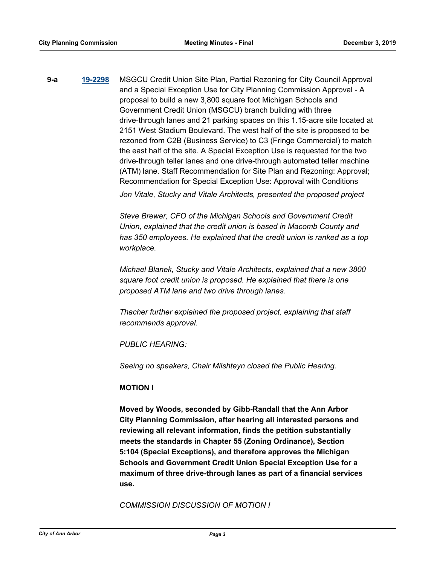**9-a [19-2298](http://a2gov.legistar.com/gateway.aspx?M=L&ID=23918)** MSGCU Credit Union Site Plan, Partial Rezoning for City Council Approval and a Special Exception Use for City Planning Commission Approval - A proposal to build a new 3,800 square foot Michigan Schools and Government Credit Union (MSGCU) branch building with three drive-through lanes and 21 parking spaces on this 1.15-acre site located at 2151 West Stadium Boulevard. The west half of the site is proposed to be rezoned from C2B (Business Service) to C3 (Fringe Commercial) to match the east half of the site. A Special Exception Use is requested for the two drive-through teller lanes and one drive-through automated teller machine (ATM) lane. Staff Recommendation for Site Plan and Rezoning: Approval; Recommendation for Special Exception Use: Approval with Conditions *Jon Vitale, Stucky and Vitale Architects, presented the proposed project* 

> *Steve Brewer, CFO of the Michigan Schools and Government Credit Union, explained that the credit union is based in Macomb County and has 350 employees. He explained that the credit union is ranked as a top workplace.*

> *Michael Blanek, Stucky and Vitale Architects, explained that a new 3800 square foot credit union is proposed. He explained that there is one proposed ATM lane and two drive through lanes.*

*Thacher further explained the proposed project, explaining that staff recommends approval.* 

*PUBLIC HEARING:*

*Seeing no speakers, Chair Milshteyn closed the Public Hearing.*

## **MOTION I**

**Moved by Woods, seconded by Gibb-Randall that the Ann Arbor City Planning Commission, after hearing all interested persons and reviewing all relevant information, finds the petition substantially meets the standards in Chapter 55 (Zoning Ordinance), Section 5:104 (Special Exceptions), and therefore approves the Michigan Schools and Government Credit Union Special Exception Use for a maximum of three drive-through lanes as part of a financial services use.**

*COMMISSION DISCUSSION OF MOTION I*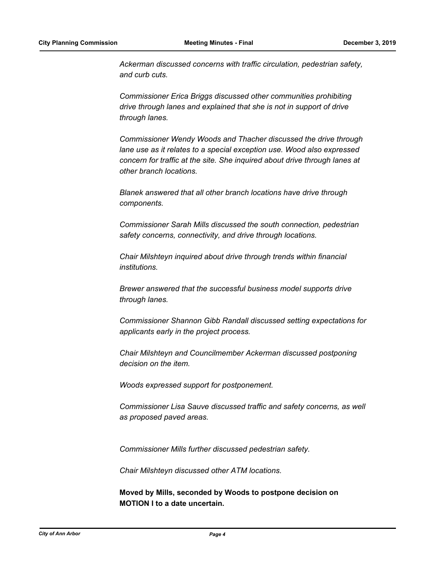*Ackerman discussed concerns with traffic circulation, pedestrian safety, and curb cuts.* 

*Commissioner Erica Briggs discussed other communities prohibiting drive through lanes and explained that she is not in support of drive through lanes.* 

*Commissioner Wendy Woods and Thacher discussed the drive through lane use as it relates to a special exception use. Wood also expressed concern for traffic at the site. She inquired about drive through lanes at other branch locations.* 

*Blanek answered that all other branch locations have drive through components.* 

*Commissioner Sarah Mills discussed the south connection, pedestrian safety concerns, connectivity, and drive through locations.* 

*Chair Milshteyn inquired about drive through trends within financial institutions.*

*Brewer answered that the successful business model supports drive through lanes.* 

*Commissioner Shannon Gibb Randall discussed setting expectations for applicants early in the project process.* 

*Chair Milshteyn and Councilmember Ackerman discussed postponing decision on the item.* 

*Woods expressed support for postponement.* 

*Commissioner Lisa Sauve discussed traffic and safety concerns, as well as proposed paved areas.* 

*Commissioner Mills further discussed pedestrian safety.* 

*Chair Milshteyn discussed other ATM locations.*

**Moved by Mills, seconded by Woods to postpone decision on MOTION I to a date uncertain.**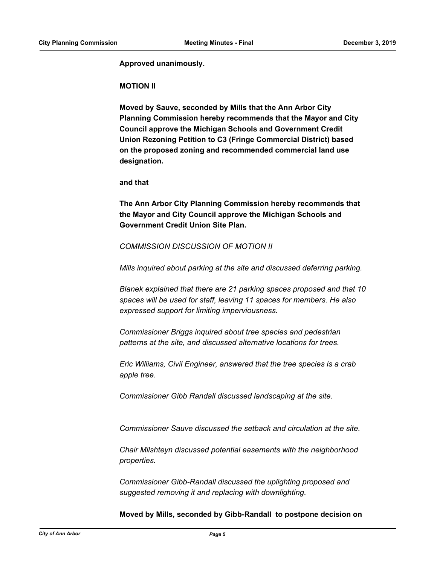**Approved unanimously.**

#### **MOTION II**

**Moved by Sauve, seconded by Mills that the Ann Arbor City Planning Commission hereby recommends that the Mayor and City Council approve the Michigan Schools and Government Credit Union Rezoning Petition to C3 (Fringe Commercial District) based on the proposed zoning and recommended commercial land use designation.**

**and that** 

**The Ann Arbor City Planning Commission hereby recommends that the Mayor and City Council approve the Michigan Schools and Government Credit Union Site Plan.**

#### *COMMISSION DISCUSSION OF MOTION II*

*Mills inquired about parking at the site and discussed deferring parking.* 

*Blanek explained that there are 21 parking spaces proposed and that 10 spaces will be used for staff, leaving 11 spaces for members. He also expressed support for limiting imperviousness.* 

*Commissioner Briggs inquired about tree species and pedestrian patterns at the site, and discussed alternative locations for trees.* 

*Eric Williams, Civil Engineer, answered that the tree species is a crab apple tree.* 

*Commissioner Gibb Randall discussed landscaping at the site.* 

*Commissioner Sauve discussed the setback and circulation at the site.* 

*Chair Milshteyn discussed potential easements with the neighborhood properties.*

*Commissioner Gibb-Randall discussed the uplighting proposed and suggested removing it and replacing with downlighting.*

**Moved by Mills, seconded by Gibb-Randall to postpone decision on**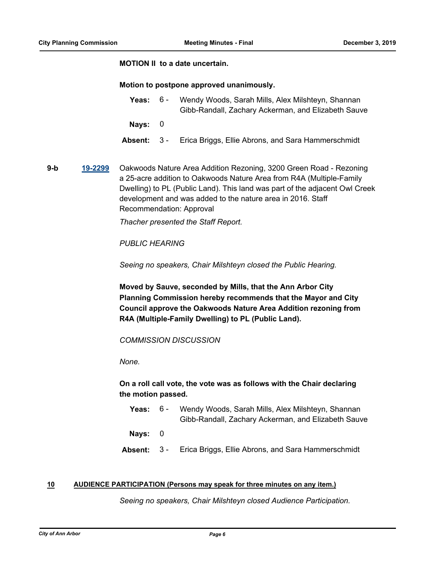#### **MOTION II to a date uncertain.**

#### **Motion to postpone approved unanimously.**

- Yeas: 6 Wendy Woods, Sarah Mills, Alex Milshteyn, Shannan Gibb-Randall, Zachary Ackerman, and Elizabeth Sauve  $6 -$ **Nays:** 0
- **Absent:** 3 Erica Briggs, Ellie Abrons, and Sara Hammerschmidt
- **9-b [19-2299](http://a2gov.legistar.com/gateway.aspx?M=L&ID=23919)** Oakwoods Nature Area Addition Rezoning, 3200 Green Road Rezoning a 25-acre addition to Oakwoods Nature Area from R4A (Multiple-Family Dwelling) to PL (Public Land). This land was part of the adjacent Owl Creek development and was added to the nature area in 2016. Staff Recommendation: Approval

*Thacher presented the Staff Report.* 

## *PUBLIC HEARING*

*Seeing no speakers, Chair Milshteyn closed the Public Hearing.*

**Moved by Sauve, seconded by Mills, that the Ann Arbor City Planning Commission hereby recommends that the Mayor and City Council approve the Oakwoods Nature Area Addition rezoning from R4A (Multiple-Family Dwelling) to PL (Public Land).**

*COMMISSION DISCUSSION*

*None.*

## **On a roll call vote, the vote was as follows with the Chair declaring the motion passed.**

Yeas: 6 - Wendy Woods, Sarah Mills, Alex Milshteyn, Shannan Gibb-Randall, Zachary Ackerman, and Elizabeth Sauve 6 -

**Nays:** 0

**Absent:** 3 - Erica Briggs, Ellie Abrons, and Sara Hammerschmidt

#### **10 AUDIENCE PARTICIPATION (Persons may speak for three minutes on any item.)**

*Seeing no speakers, Chair Milshteyn closed Audience Participation.*